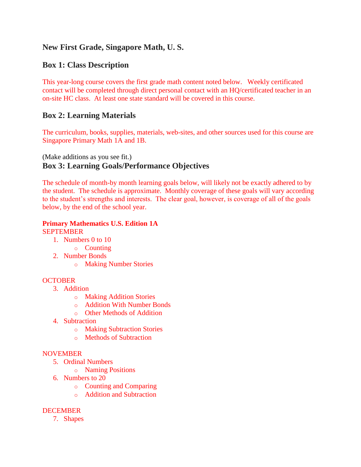# **New First Grade, Singapore Math, U. S.**

# **Box 1: Class Description**

This year-long course covers the first grade math content noted below. Weekly certificated contact will be completed through direct personal contact with an HQ/certificated teacher in an on-site HC class. At least one state standard will be covered in this course.

# **Box 2: Learning Materials**

The curriculum, books, supplies, materials, web-sites, and other sources used for this course are Singapore Primary Math 1A and 1B.

# (Make additions as you see fit.) **Box 3: Learning Goals/Performance Objectives**

The schedule of month-by month learning goals below, will likely not be exactly adhered to by the student. The schedule is approximate. Monthly coverage of these goals will vary according to the student's strengths and interests. The clear goal, however, is coverage of all of the goals below, by the end of the school year.

# **Primary Mathematics U.S. Edition 1A**

#### **SEPTEMBER**

- 1. Numbers 0 to 10
	- o Counting
- 2. Number Bonds
	- o Making Number Stories

# **OCTOBER**

- 3. Addition
	- o Making Addition Stories
	- o Addition With Number Bonds
	- o Other Methods of Addition
- 4. Subtraction
	- o Making Subtraction Stories
	- o Methods of Subtraction

#### **NOVEMBER**

- 5. Ordinal Numbers
	- o Naming Positions
- 6. Numbers to 20
	- o Counting and Comparing
	- o Addition and Subtraction

# DECEMBER

7. Shapes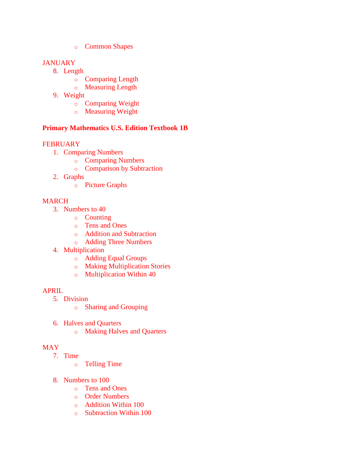o Common Shapes

### **JANUARY**

- 8. Length
	- o Comparing Length
	- o Measuring Length
- 9. Weight
	- o Comparing Weight
	- o Measuring Weight

### **Primary Mathematics U.S. Edition Textbook 1B**

#### **FEBRUARY**

- 1. Comparing Numbers
	- o Comparing Numbers
	- o Comparison by Subtraction
- 2. Graphs
	- o Picture Graphs

# MARCH

- 3. Numbers to 40
	- o Counting
	- o Tens and Ones
	- o Addition and Subtraction
	- o Adding Three Numbers
- 4. Multiplication
	- o Adding Equal Groups
	- o Making Multiplication Stories
	- o Multiplication Within 40

#### APRIL

- 5. Division
	- o Sharing and Grouping
- 6. Halves and Quarters
	- o Making Halves and Quarters

# MAY

- 7. Time
	- o Telling Time
- 8. Numbers to 100
	- o Tens and Ones
	- o Order Numbers
	- o Addition Within 100
	- o Subtraction Within 100